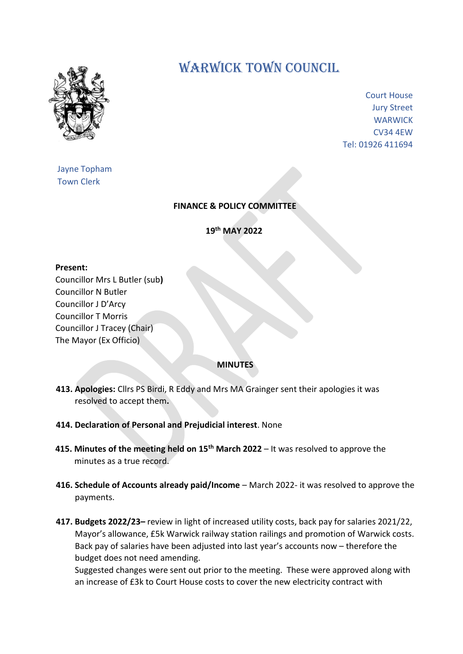

## WARWICK TOWN COUNCIL

Court House Jury Street **WARWICK** CV34 4EW Tel: 01926 411694

Jayne Topham Town Clerk

## **FINANCE & POLICY COMMITTEE**

**19th MAY 2022**

## **Present:**

Councillor Mrs L Butler (sub**)** Councillor N Butler Councillor J D'Arcy Councillor T Morris Councillor J Tracey (Chair) The Mayor (Ex Officio)

## **MINUTES**

- **413. Apologies:** Cllrs PS Birdi, R Eddy and Mrs MA Grainger sent their apologies it was resolved to accept them**.**
- **414. Declaration of Personal and Prejudicial interest**. None
- **415. Minutes of the meeting held on 15th March 2022**  It was resolved to approve the minutes as a true record.
- **416. Schedule of Accounts already paid/Income** March 2022- it was resolved to approve the payments.
- **417. Budgets 2022/23–** review in light of increased utility costs, back pay for salaries 2021/22, Mayor's allowance, £5k Warwick railway station railings and promotion of Warwick costs. Back pay of salaries have been adjusted into last year's accounts now – therefore the budget does not need amending.

Suggested changes were sent out prior to the meeting. These were approved along with an increase of £3k to Court House costs to cover the new electricity contract with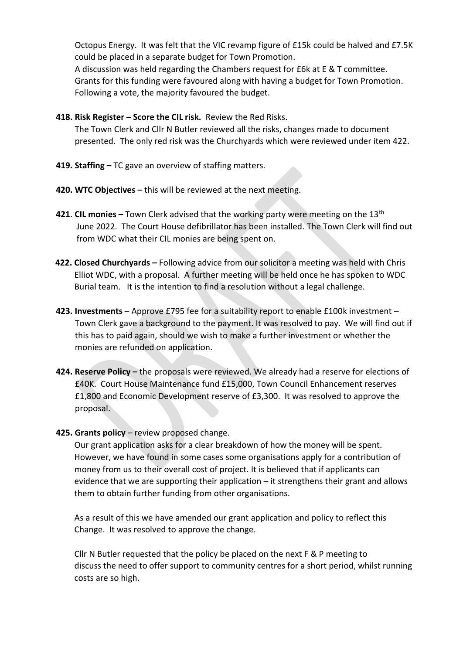Octopus Energy. It was felt that the VIC revamp figure of £15k could be halved and £7.5K could be placed in a separate budget for Town Promotion. A discussion was held regarding the Chambers request for £6k at E & T committee. Grants for this funding were favoured along with having a budget for Town Promotion. Following a vote, the majority favoured the budget.

- **418. Risk Register – Score the CIL risk.** Review the Red Risks. The Town Clerk and Cllr N Butler reviewed all the risks, changes made to document presented. The only red risk was the Churchyards which were reviewed under item 422.
- **419. Staffing –** TC gave an overview of staffing matters.
- **420. WTC Objectives –** this will be reviewed at the next meeting.
- **421**. **CIL monies –** Town Clerk advised that the working party were meeting on the 13th June 2022. The Court House defibrillator has been installed. The Town Clerk will find out from WDC what their CIL monies are being spent on.
- **422. Closed Churchyards –** Following advice from our solicitor a meeting was held with Chris Elliot WDC, with a proposal. A further meeting will be held once he has spoken to WDC Burial team. It is the intention to find a resolution without a legal challenge.
- **423. Investments**  Approve £795 fee for a suitability report to enable £100k investment Town Clerk gave a background to the payment. It was resolved to pay. We will find out if this has to paid again, should we wish to make a further investment or whether the monies are refunded on application.
- **424. Reserve Policy –** the proposals were reviewed. We already had a reserve for elections of £40K. Court House Maintenance fund £15,000, Town Council Enhancement reserves £1,800 and Economic Development reserve of £3,300. It was resolved to approve the proposal.
- **425. Grants policy** review proposed change.

 Our grant application asks for a clear breakdown of how the money will be spent. However, we have found in some cases some organisations apply for a contribution of money from us to their overall cost of project. It is believed that if applicants can evidence that we are supporting their application – it strengthens their grant and allows them to obtain further funding from other organisations.

 As a result of this we have amended our grant application and policy to reflect this Change. It was resolved to approve the change.

 Cllr N Butler requested that the policy be placed on the next F & P meeting to discuss the need to offer support to community centres for a short period, whilst running costs are so high.